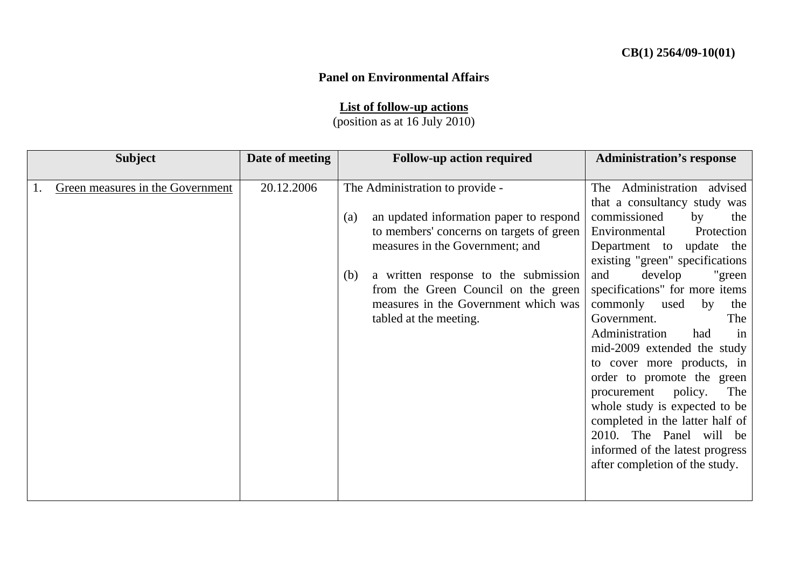## **Panel on Environmental Affairs**

**List of follow-up actions**

(position as at 16 July 2010)

| <b>Subject</b> |                                  | Date of meeting |     | <b>Follow-up action required</b>         | <b>Administration's response</b> |
|----------------|----------------------------------|-----------------|-----|------------------------------------------|----------------------------------|
|                |                                  |                 |     |                                          |                                  |
|                | Green measures in the Government | 20.12.2006      |     | The Administration to provide -          | The Administration advised       |
|                |                                  |                 |     |                                          | that a consultancy study was     |
|                |                                  |                 | (a) | an updated information paper to respond  | commissioned<br>by<br>the        |
|                |                                  |                 |     | to members' concerns on targets of green | Environmental<br>Protection      |
|                |                                  |                 |     | measures in the Government; and          | Department to<br>update the      |
|                |                                  |                 |     |                                          | existing "green" specifications  |
|                |                                  |                 | (b) | a written response to the submission     | develop<br>"green<br>and         |
|                |                                  |                 |     | from the Green Council on the green      | specifications" for more items   |
|                |                                  |                 |     | measures in the Government which was     | commonly<br>used<br>by<br>the    |
|                |                                  |                 |     | tabled at the meeting.                   | Government.<br>The               |
|                |                                  |                 |     |                                          | Administration<br>had<br>in      |
|                |                                  |                 |     |                                          | mid-2009 extended the study      |
|                |                                  |                 |     |                                          | to cover more products, in       |
|                |                                  |                 |     |                                          | order to promote the green       |
|                |                                  |                 |     |                                          | procurement policy.<br>The       |
|                |                                  |                 |     |                                          | whole study is expected to be    |
|                |                                  |                 |     |                                          | completed in the latter half of  |
|                |                                  |                 |     |                                          | 2010. The Panel will be          |
|                |                                  |                 |     |                                          | informed of the latest progress  |
|                |                                  |                 |     |                                          | after completion of the study.   |
|                |                                  |                 |     |                                          |                                  |
|                |                                  |                 |     |                                          |                                  |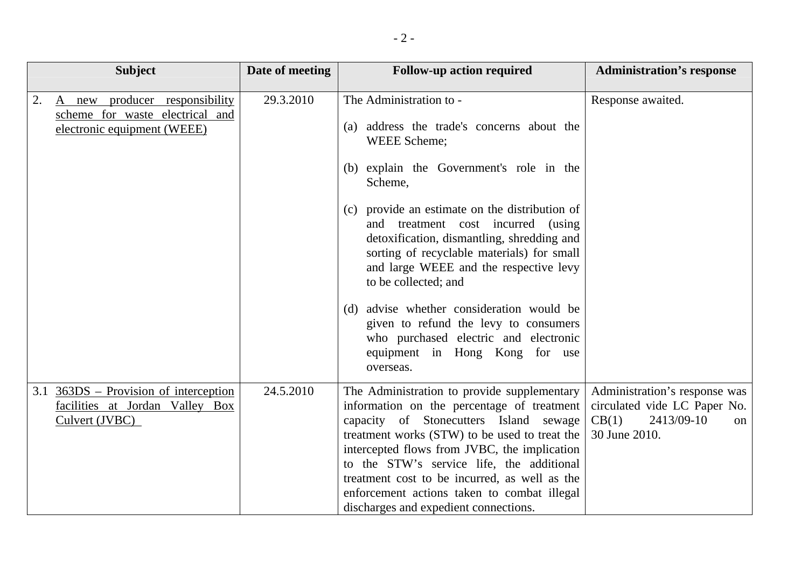| <b>Subject</b>                                                                                           | Date of meeting | <b>Follow-up action required</b>                                                                                                                                                                                                                                                                                                                                                                                                                                                                                                                                    | <b>Administration's response</b>                                                                                       |
|----------------------------------------------------------------------------------------------------------|-----------------|---------------------------------------------------------------------------------------------------------------------------------------------------------------------------------------------------------------------------------------------------------------------------------------------------------------------------------------------------------------------------------------------------------------------------------------------------------------------------------------------------------------------------------------------------------------------|------------------------------------------------------------------------------------------------------------------------|
| 2.<br>producer responsibility<br>A new<br>scheme for waste electrical and<br>electronic equipment (WEEE) | 29.3.2010       | The Administration to -<br>(a) address the trade's concerns about the<br>WEEE Scheme;<br>(b) explain the Government's role in the<br>Scheme,<br>(c) provide an estimate on the distribution of<br>and treatment cost incurred (using<br>detoxification, dismantling, shredding and<br>sorting of recyclable materials) for small<br>and large WEEE and the respective levy<br>to be collected; and<br>(d) advise whether consideration would be<br>given to refund the levy to consumers<br>who purchased electric and electronic<br>equipment in Hong Kong for use | Response awaited.                                                                                                      |
| $3.1$ 363DS – Provision of interception<br>facilities at Jordan Valley Box<br>Culvert (JVBC)             | 24.5.2010       | overseas.<br>The Administration to provide supplementary<br>information on the percentage of treatment<br>capacity of Stonecutters Island sewage<br>treatment works (STW) to be used to treat the<br>intercepted flows from JVBC, the implication<br>to the STW's service life, the additional<br>treatment cost to be incurred, as well as the<br>enforcement actions taken to combat illegal<br>discharges and expedient connections.                                                                                                                             | Administration's response was<br>circulated vide LC Paper No.<br>CB(1)<br>2413/09-10<br><sub>on</sub><br>30 June 2010. |